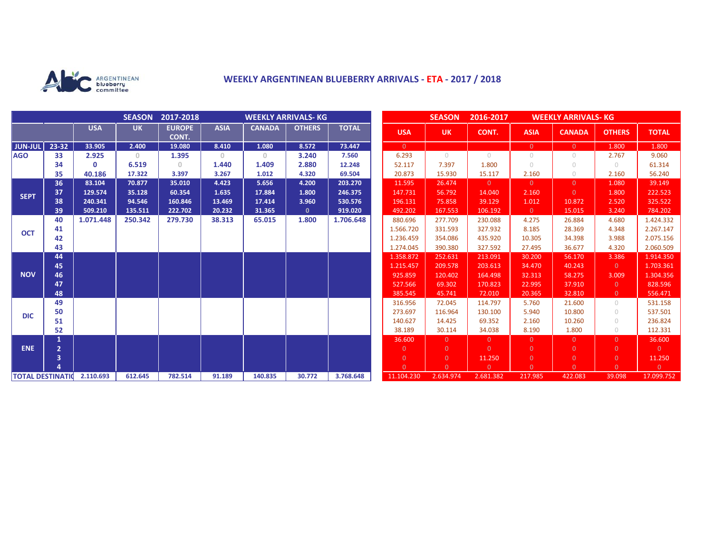

## **WEEKLY ARGENTINEAN BLUEBERRY ARRIVALS - ETA - 2017 / 2018**

|                            |                |            | <b>SEASON</b> | 2017-2018<br><b>WEEKLY ARRIVALS- KG</b> |             |               |               |              |  | <b>SEASON</b><br>2016-2017<br><b>WEEKLY ARRIVALS- KG</b> |           |                |                |                |                |                |
|----------------------------|----------------|------------|---------------|-----------------------------------------|-------------|---------------|---------------|--------------|--|----------------------------------------------------------|-----------|----------------|----------------|----------------|----------------|----------------|
|                            |                | <b>USA</b> | <b>UK</b>     | <b>EUROPE</b><br>CONT.                  | <b>ASIA</b> | <b>CANADA</b> | <b>OTHERS</b> | <b>TOTAL</b> |  | <b>USA</b>                                               | <b>UK</b> | CONT.          | <b>ASIA</b>    | <b>CANADA</b>  | <b>OTHERS</b>  | <b>TOTAL</b>   |
| <b>JUN-JUL</b>             | 23-32          | 33.905     | 2.400         | 19.080                                  | 8.410       | 1.080         | 8.572         | 73.447       |  | $\overline{0}$                                           |           |                | $\overline{0}$ | $\overline{0}$ | 1.800          | 1.800          |
| <b>AGO</b>                 | 33             | 2.925      | $\Omega$      | 1.395                                   | $\circ$     | $\circ$       | 3.240         | 7.560        |  | 6.293                                                    | $\bigcap$ | $\bigcap$      | $\bigcirc$     | $\bigcirc$     | 2.767          | 9.060          |
|                            | 34             | 0          | 6.519         | 0                                       | 1.440       | 1.409         | 2.880         | 12.248       |  | 52.117                                                   | 7.397     | 1.800          | $\cup$         | $\bigcirc$     | $\circ$        | 61.314         |
|                            | 35             | 40.186     | 17.322        | 3.397                                   | 3.267       | 1.012         | 4.320         | 69.504       |  | 20.873                                                   | 15.930    | 15.117         | 2.160          | $\circ$        | 2.160          | 56.240         |
| <b>SEPT</b>                | 36             | 83.104     | 70.877        | 35.010                                  | 4.423       | 5.656         | 4.200         | 203.270      |  | 11.595                                                   | 26.474    | $\overline{0}$ | $\overline{0}$ | $\overline{0}$ | 1.080          | 39.149         |
|                            | 37             | 129.574    | 35.128        | 60.354                                  | 1.635       | 17.884        | 1.800         | 246.375      |  | 147.731                                                  | 56.792    | 14.040         | 2.160          | $\Omega$       | 1.800          | 222.523        |
|                            | 38             | 240.341    | 94.546        | 160.846                                 | 13.469      | 17.414        | 3.960         | 530.576      |  | 196.131                                                  | 75.858    | 39.129         | 1.012          | 10.872         | 2.520          | 325.522        |
|                            | 39             | 509.210    | 135.511       | 222.702                                 | 20.232      | 31.365        | $\mathbf{0}$  | 919.020      |  | 492.202                                                  | 167.553   | 106.192        | $\overline{0}$ | 15.015         | 3.240          | 784.202        |
| <b>OCT</b>                 | 40             | 1.071.448  | 250.342       | 279.730                                 | 38.313      | 65.015        | 1.800         | 1.706.648    |  | 880.696                                                  | 277.709   | 230.088        | 4.275          | 26.884         | 4.680          | 1.424.332      |
|                            | 41             |            |               |                                         |             |               |               |              |  | 1.566.720                                                | 331.593   | 327.932        | 8.185          | 28.369         | 4.348          | 2.267.147      |
|                            | 42             |            |               |                                         |             |               |               |              |  | 1.236.459                                                | 354.086   | 435.920        | 10.305         | 34.398         | 3.988          | 2.075.156      |
|                            | 43             |            |               |                                         |             |               |               |              |  | 1.274.045                                                | 390.380   | 327.592        | 27.495         | 36.677         | 4.320          | 2.060.509      |
| <b>NOV</b>                 | 44             |            |               |                                         |             |               |               |              |  | 1.358.872                                                | 252.631   | 213.091        | 30.200         | 56.170         | 3.386          | 1.914.350      |
|                            | 45             |            |               |                                         |             |               |               |              |  | 1.215.457                                                | 209.578   | 203.613        | 34.470         | 40.243         | $\overline{0}$ | 1.703.361      |
|                            | 46             |            |               |                                         |             |               |               |              |  | 925.859                                                  | 120.402   | 164.498        | 32.313         | 58.275         | 3.009          | 1.304.356      |
|                            | 47             |            |               |                                         |             |               |               |              |  | 527.566                                                  | 69.302    | 170.823        | 22.995         | 37.910         | $\overline{0}$ | 828.596        |
|                            | 48             |            |               |                                         |             |               |               |              |  | 385.545                                                  | 45.741    | 72.010         | 20.365         | 32.810         | $\overline{0}$ | 556.471        |
| <b>DIC</b>                 | 49             |            |               |                                         |             |               |               |              |  | 316.956                                                  | 72.045    | 114.797        | 5.760          | 21.600         | $\circ$        | 531.158        |
|                            | 50             |            |               |                                         |             |               |               |              |  | 273.697                                                  | 116.964   | 130.100        | 5.940          | 10.800         | 0              | 537.501        |
|                            | 51             |            |               |                                         |             |               |               |              |  | 140.627                                                  | 14.425    | 69.352         | 2.160          | 10.260         | $\circ$        | 236.824        |
|                            | 52             |            |               |                                         |             |               |               |              |  | 38.189                                                   | 30.114    | 34.038         | 8.190          | 1.800          | $\circ$        | 112.331        |
| <b>ENE</b>                 | 1              |            |               |                                         |             |               |               |              |  | 36.600                                                   | $\Omega$  | $\overline{0}$ | $\overline{0}$ | $\overline{0}$ | $\overline{0}$ | 36.600         |
|                            | $\overline{2}$ |            |               |                                         |             |               |               |              |  | $\overline{0}$                                           | $\Omega$  | $\overline{0}$ | $\overline{0}$ | $\overline{0}$ | $\overline{0}$ | $\overline{0}$ |
|                            | 3              |            |               |                                         |             |               |               |              |  | $\overline{0}$                                           | $\Omega$  | 11.250         | $\overline{0}$ | $\overline{0}$ | $\mathbf{0}$   | 11.250         |
|                            |                |            |               |                                         |             |               |               |              |  | $\Omega$                                                 | $\Omega$  | $\Omega$       | $\Omega$       | $\Omega$       | $\overline{0}$ | $\overline{0}$ |
| TOTAL DESTINATIO 2.110.693 |                |            | 612.645       | 782.514                                 | 91.189      | 140.835       | 30.772        | 3.768.648    |  | 11.104.230                                               | 2.634.974 | 2.681.382      | 217.985        | 422.083        | 39.098         | 17.099.752     |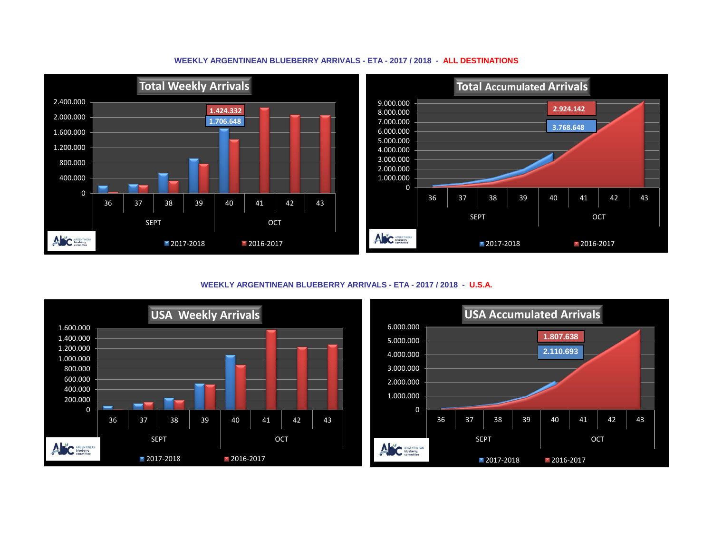## **WEEKLY ARGENTINEAN BLUEBERRY ARRIVALS - ETA - 2017 / 2018 - ALL DESTINATIONS**



**WEEKLY ARGENTINEAN BLUEBERRY ARRIVALS - ETA - 2017 / 2018 - U.S.A.**



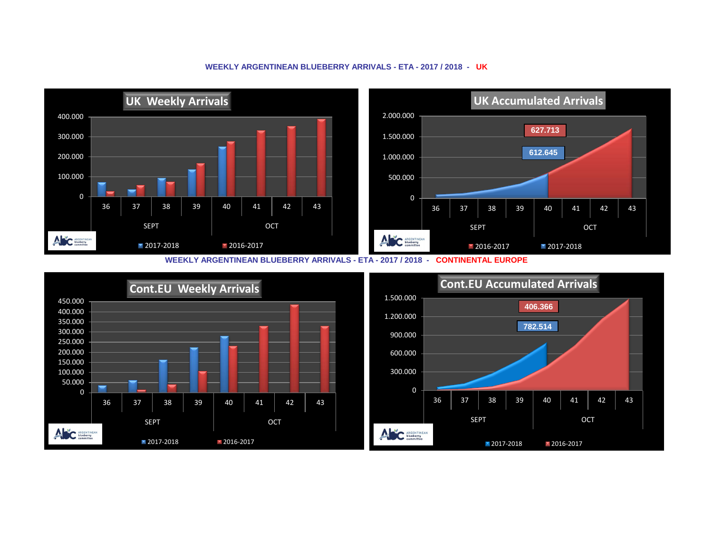

## **WEEKLY ARGENTINEAN BLUEBERRY ARRIVALS - ETA - 2017 / 2018 - UK**

**WEEKLY ARGENTINEAN BLUEBERRY ARRIVALS - ETA - 2017 / 2018 - CONTINENTAL EUROPE**